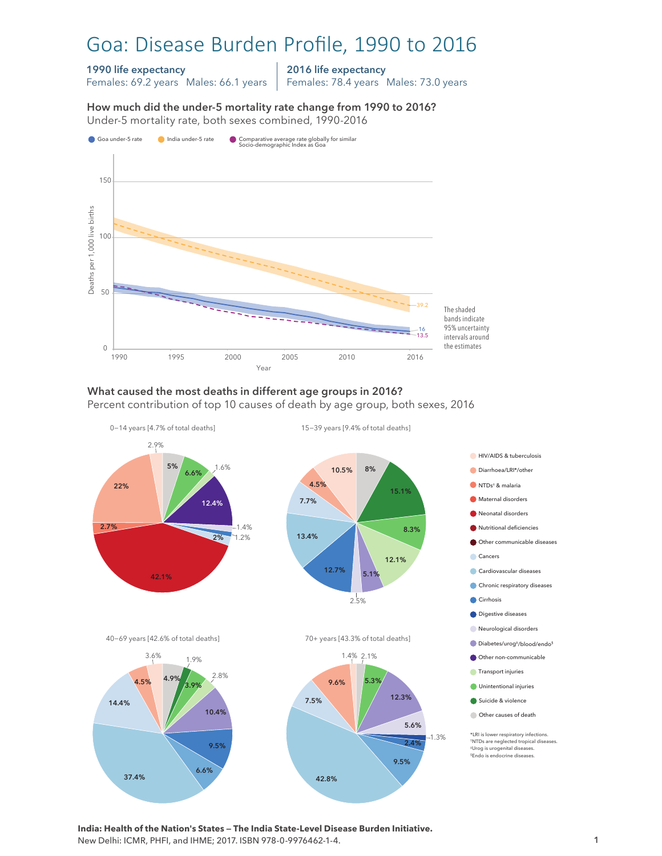# Goa: Disease Burden Profile, 1990 to 2016

#### 1990 life expectancy

Females: 69.2 years Males: 66.1 years

2016 life expectancy Females: 78.4 years Males: 73.0 years

How much did the under-5 mortality rate change from 1990 to 2016?

How much did the under-5 mortality rate change from 1990 to 2016? Under-5 mortality rate, both sexes combined, 1990-2016 Under-5 mortality rate, both sexes combined, 1990-2016



#### What caused the most deaths in different age groups in 2016?

Percent contribution of top 10 causes of death by age group, both sexes, 2016



\*LRI is lower respiratory infections. †NTDs are neglected tropical diseases. ‡Urog is urogenital diseases. §Endo is endocrine diseases.





**India: Health of the Nation's States — The India State-Level Disease Burden Initiative.**  New Delhi: ICMR, PHFI, and IHME; 2017. ISBN 978-0-9976462-1-4.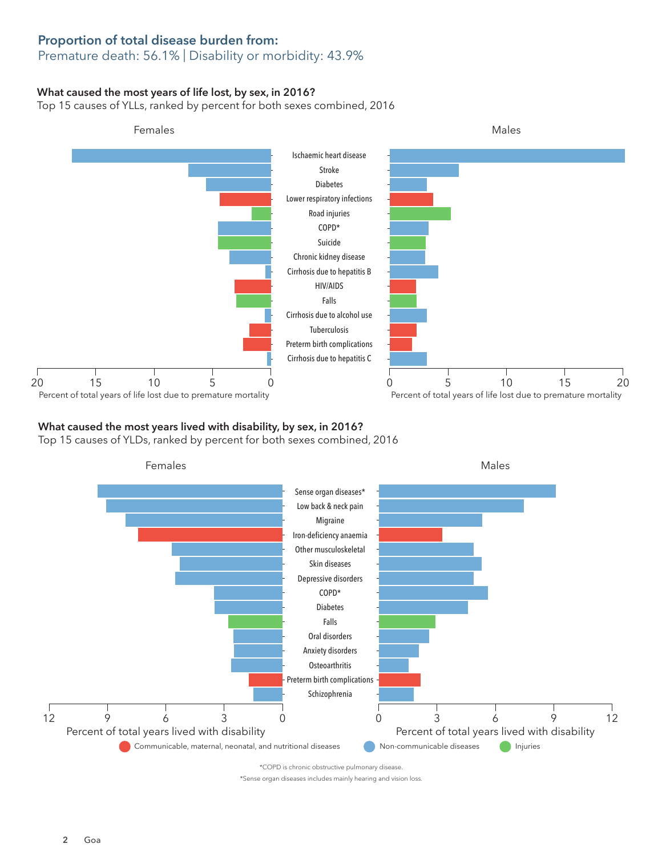# Proportion of total disease burden from:

## Premature death: 56.1% | Disability or morbidity: 43.9%

### What caused the most years of life lost, by sex, in 2016?

Top 15 causes of YLLs, ranked by percent for both sexes combined, 2016



## What caused the most years lived with disability, by sex, in 2016?

Top 15 causes of YLDs, ranked by percent for both sexes combined, 2016



\*Sense organ diseases includes mainly hearing and vision loss.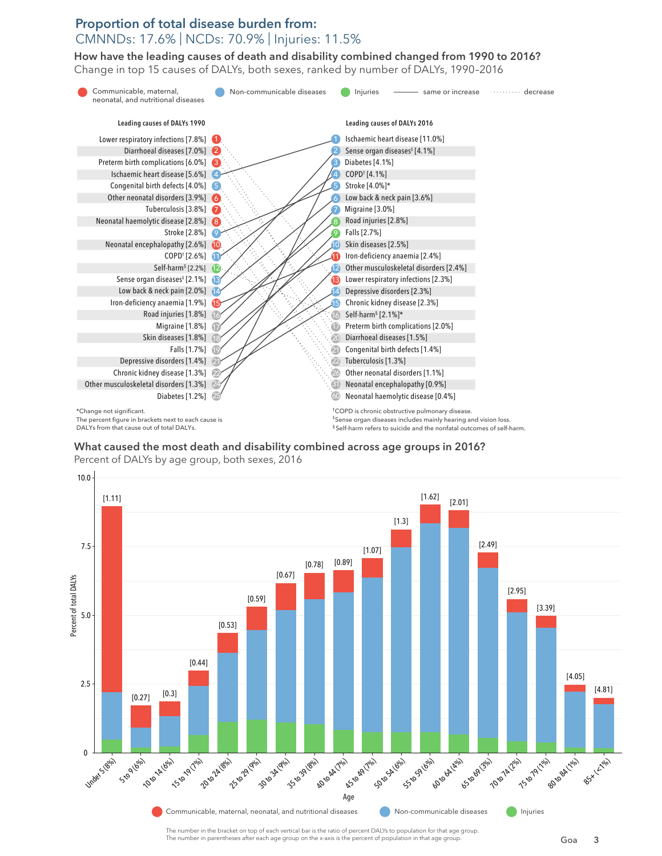## Proportion of total disease burden from: CMNNDs: 17.6% | NCDs: 70.9% | Injuries: 11.5%

How have the leading causes of death and disability combined changed from 1990 to 2016? How have the leading causes of death and disability combined changed from 1990 to 2016? Change in top 15 causes of DALYs, both sexes, ranked by number of DALYs, 1990–2016 Change in top 15 causes of DALYs, both sexes, ranked by number of DALYs, 1990–2016







Percent of DALYs by age group, both sexes, 2016 Percent of DALYs by age group, both sexes, 2016

The number in the bracket on top of each vertical bar is the ratio of percent DALYs to population for that age group. The number in parentheses after each age group on the x-axis is the percent of population in that age group.